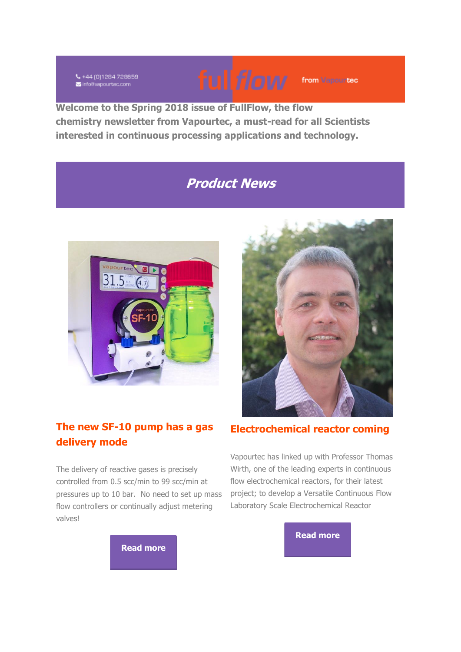₹+44 (0)1284 728659 info@vapourtec.com



**Welcome to the Spring 2018 issue of FullFlow, the flow chemistry newsletter from Vapourtec, a must-read for all Scientists interested in continuous processing applications and technology.**

# **Product News**



# **The new SF-10 pump has a gas delivery mode**

The delivery of reactive gases is precisely controlled from 0.5 scc/min to 99 scc/min at pressures up to 10 bar. No need to set up mass flow controllers or continually adjust metering valves!



# **Electrochemical reactor coming**

Vapourtec has linked up with Professor Thomas Wirth, one of the leading experts in continuous flow electrochemical reactors, for their latest project; to develop a Versatile Continuous Flow Laboratory Scale Electrochemical Reactor

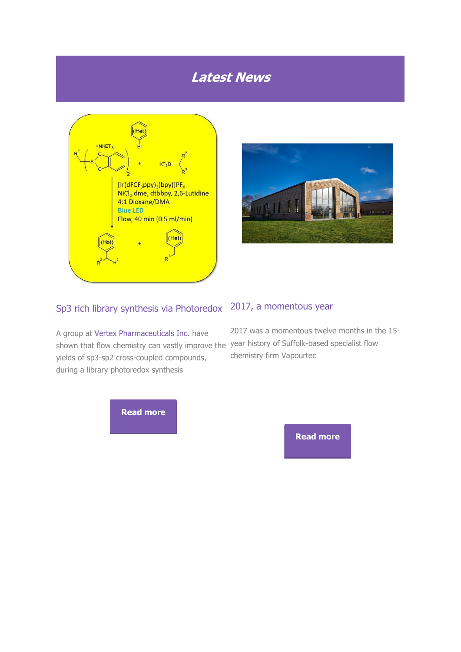# **Latest News**





#### Sp3 rich library synthesis via Photoredox

A group at **[Vertex Pharmaceuticals Inc.](http://vapourtec.createsend1.com/t/r-l-jysiyht-l-h/)** have shown that flow chemistry can vastly improve the year history of Suffolk-based specialist flow yields of sp3-sp2 cross-coupled compounds, during a library photoredox synthesis

# 2017, a momentous year

2017 was a momentous twelve months in the 15 chemistry firm Vapourtec

**[Read more](http://vapourtec.createsend1.com/t/r-l-jysiyht-l-k/)**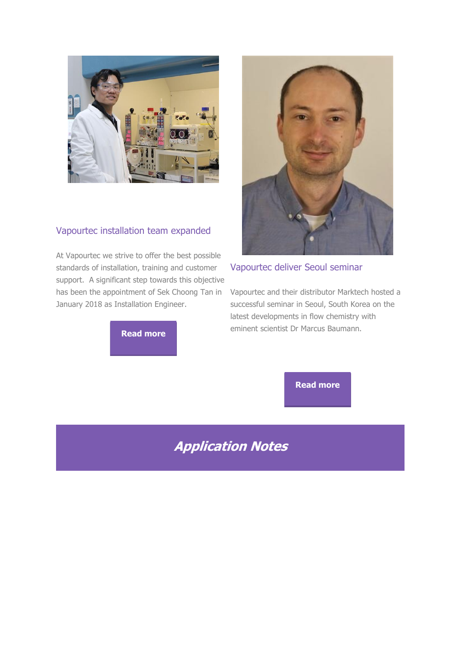

### Vapourtec installation team expanded

At Vapourtec we strive to offer the best possible standards of installation, training and customer support. A significant step towards this objective has been the appointment of Sek Choong Tan in January 2018 as Installation Engineer.

# **[Read more](http://vapourtec.createsend1.com/t/r-l-jysiyht-l-n/)**



### Vapourtec deliver Seoul seminar

Vapourtec and their distributor Marktech hosted a successful seminar in Seoul, South Korea on the latest developments in flow chemistry with eminent scientist Dr Marcus Baumann.

**[Read more](http://vapourtec.createsend1.com/t/r-l-jysiyht-l-x/)**

# **Application Notes**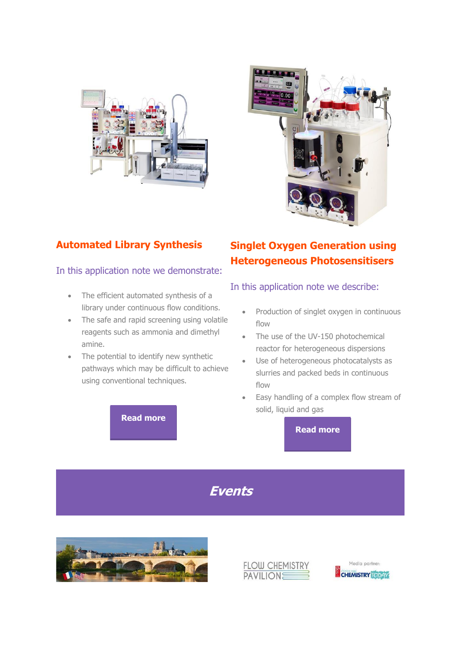



# **Automated Library Synthesis**

#### In this application note we demonstrate:

- The efficient automated synthesis of a library under continuous flow conditions.
- The safe and rapid screening using volatile reagents such as ammonia and dimethyl amine.
- The potential to identify new synthetic pathways which may be difficult to achieve using conventional techniques.

### **[Read more](http://vapourtec.createsend1.com/t/r-l-jysiyht-l-c/)**

# **Singlet Oxygen Generation using Heterogeneous Photosensitisers**

### In this application note we describe:

- Production of singlet oxygen in continuous flow
- The use of the UV-150 photochemical reactor for heterogeneous dispersions
- Use of heterogeneous photocatalysts as slurries and packed beds in continuous flow
- Easy handling of a complex flow stream of solid, liquid and gas

**[Read more](http://vapourtec.createsend1.com/t/r-l-jysiyht-l-a/)**

# **Events**





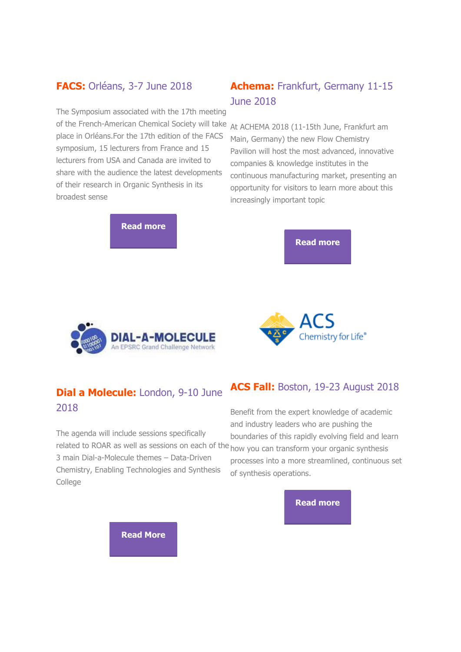### **FACS:** Orléans, 3-7 June 2018

The Symposium associated with the 17th meeting of the French-American Chemical Society will take At ACHEMA 2018 (11-15th June, Frankfurt am place in Orléans.For the 17th edition of the FACS symposium, 15 lecturers from France and 15 lecturers from USA and Canada are invited to share with the audience the latest developments of their research in Organic Synthesis in its broadest sense

**[Read more](http://vapourtec.createsend1.com/t/r-l-jysiyht-l-z/)**

# **Achema:** Frankfurt, Germany 11-15 June 2018

Main, Germany) the new Flow Chemistry Pavilion will host the most advanced, innovative companies & knowledge institutes in the continuous manufacturing market, presenting an opportunity for visitors to learn more about this increasingly important topic

**[Read more](http://vapourtec.createsend1.com/t/r-l-jysiyht-l-e/)**





# **Dial a Molecule:** London, 9-10 June 2018

The agenda will include sessions specifically related to ROAR as well as sessions on each of the <sub>how you can transform your organic synthesis</sub> 3 main Dial-a-Molecule themes – Data-Driven Chemistry, Enabling Technologies and Synthesis **College** 

# **[A](http://vapourtec.createsend1.com/t/r-l-jysiyht-l-s/)CS Fall:** Boston, 19-23 August 2018

Benefit from the expert knowledge of academic and industry leaders who are pushing the boundaries of this rapidly evolving field and learn processes into a more streamlined, continuous set of synthesis operations.



**[Read More](http://vapourtec.createsend1.com/t/r-l-jysiyht-l-g/)**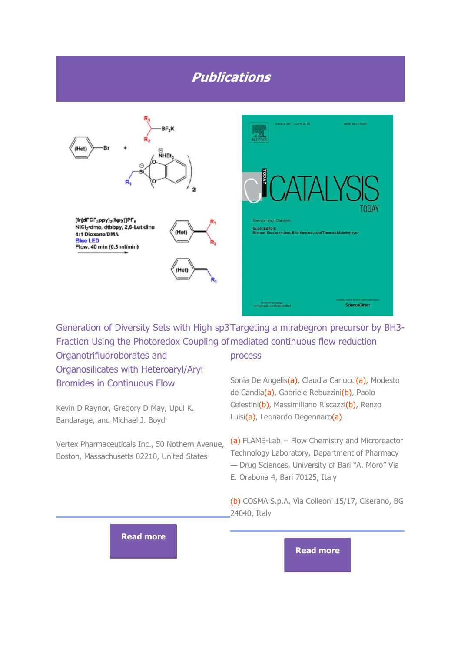# **Publications**





Generation of Diversity Sets with High sp3 Targeting a mirabegron precursor by BH3- Fraction Using the Photoredox Coupling of mediated continuous flow reduction

Organotrifluoroborates and Organosilicates with Heteroaryl/Aryl Bromides in Continuous Flow

Kevin D Raynor, Gregory D May, Upul K. Bandarage, and Michael J. Boyd

Vertex Pharmaceuticals Inc., 50 Nothern Avenue, Boston, Massachusetts 02210, United States

#### process

Sonia De Angelis(a), Claudia Carlucci(a), Modesto de Candia(a), Gabriele Rebuzzini(b), Paolo Celestini(b), Massimiliano Riscazzi(b), Renzo Luisi(a), Leonardo Degennaro(a)

(a) FLAME-Lab − Flow Chemistry and Microreactor Technology Laboratory, Department of Pharmacy — Drug Sciences, University of Bari "A. Moro" Via E. Orabona 4, Bari 70125, Italy

(b) COSMA S.p.A, Via Colleoni 15/17, Ciserano, BG 24040, Italy

#### **[Read more](http://vapourtec.createsend1.com/t/r-l-jysiyht-l-yk/)**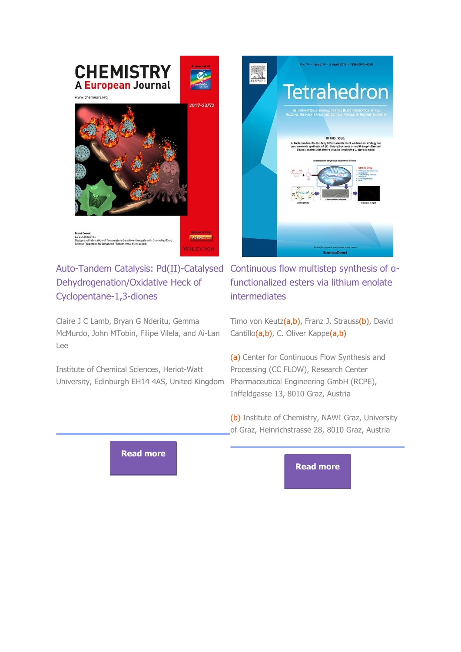

# Dehydrogenation/Oxidative Heck of Cyclopentane-1,3-diones

Claire J C Lamb, Bryan G Nderitu, Gemma McMurdo, John MTobin, Filipe Vilela, and Ai-Lan Lee

Institute of Chemical Sciences, Heriot-Watt University, Edinburgh EH14 4AS, United Kingdom Pharmaceutical Engineering GmbH (RCPE),



Auto-Tandem Catalysis: Pd(II)-Catalysed Continuous flow multistep synthesis of αfunctionalized esters via lithium enolate intermediates

> Timo von Keutz(a,b), Franz J. Strauss(b), David Cantillo(a,b), C. Oliver Kappe(a,b)

(a) Center for Continuous Flow Synthesis and Processing (CC FLOW), Research Center Inffeldgasse 13, 8010 Graz, Austria

(b) Institute of Chemistry, NAWI Graz, University of Graz, Heinrichstrasse 28, 8010 Graz, Austria

**[Read more](http://vapourtec.createsend1.com/t/r-l-jysiyht-l-jy/)**